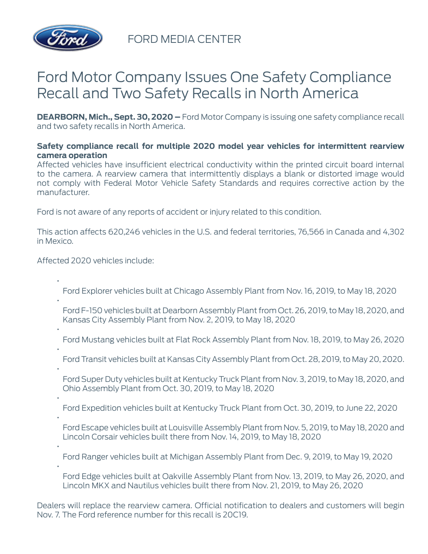

FORD MEDIA CENTER

## Ford Motor Company Issues One Safety Compliance Recall and Two Safety Recalls in North America

**DEARBORN, Mich., Sept. 30, 2020 –** Ford Motor Company is issuing one safety compliance recall and two safety recalls in North America.

## **Safety compliance recall for multiple 2020 model year vehicles for intermittent rearview camera operation**

Affected vehicles have insufficient electrical conductivity within the printed circuit board internal to the camera. A rearview camera that intermittently displays a blank or distorted image would not comply with Federal Motor Vehicle Safety Standards and requires corrective action by the manufacturer.

Ford is not aware of any reports of accident or injury related to this condition.

This action affects 620,246 vehicles in the U.S. and federal territories, 76,566 in Canada and 4,302 in Mexico.

Affected 2020 vehicles include:

- Ford Explorer vehicles built at Chicago Assembly Plant from Nov. 16, 2019, to May 18, 2020 •
- Ford F-150 vehicles built at Dearborn Assembly Plant from Oct. 26, 2019, to May 18, 2020, and Kansas City Assembly Plant from Nov. 2, 2019, to May 18, 2020
- 
- Ford Mustang vehicles built at Flat Rock Assembly Plant from Nov. 18, 2019, to May 26, 2020
- •

•

- Ford Transit vehicles built at Kansas City Assembly Plant from Oct. 28, 2019, to May 20, 2020.
- - Ford Super Duty vehicles built at Kentucky Truck Plant from Nov. 3, 2019, to May 18, 2020, and Ohio Assembly Plant from Oct. 30, 2019, to May 18, 2020
- •
- Ford Expedition vehicles built at Kentucky Truck Plant from Oct. 30, 2019, to June 22, 2020
- •

•

- Ford Escape vehicles built at Louisville Assembly Plant from Nov. 5, 2019, to May 18, 2020 and Lincoln Corsair vehicles built there from Nov. 14, 2019, to May 18, 2020
- Ford Ranger vehicles built at Michigan Assembly Plant from Dec. 9, 2019, to May 19, 2020
- Ford Edge vehicles built at Oakville Assembly Plant from Nov. 13, 2019, to May 26, 2020, and Lincoln MKX and Nautilus vehicles built there from Nov. 21, 2019, to May 26, 2020
- Dealers will replace the rearview camera. Official notification to dealers and customers will begin Nov. 7. The Ford reference number for this recall is 20C19.